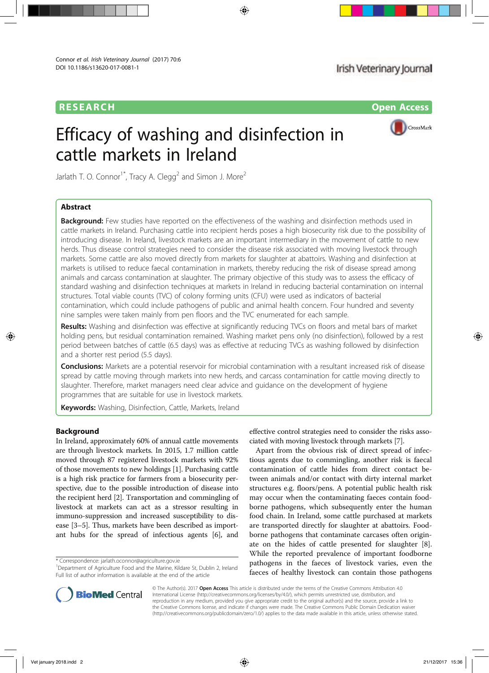# RESEARCH **Open Access**

# Efficacy of washing and disinfection in cattle markets in Ireland



Jarlath T. O. Connor<sup>1\*</sup>, Tracy A. Clegg<sup>2</sup> and Simon J. More<sup>2</sup>

# Abstract

**Background:** Few studies have reported on the effectiveness of the washing and disinfection methods used in cattle markets in Ireland. Purchasing cattle into recipient herds poses a high biosecurity risk due to the possibility of introducing disease. In Ireland, livestock markets are an important intermediary in the movement of cattle to new herds. Thus disease control strategies need to consider the disease risk associated with moving livestock through markets. Some cattle are also moved directly from markets for slaughter at abattoirs. Washing and disinfection at markets is utilised to reduce faecal contamination in markets, thereby reducing the risk of disease spread among animals and carcass contamination at slaughter. The primary objective of this study was to assess the efficacy of standard washing and disinfection techniques at markets in Ireland in reducing bacterial contamination on internal structures. Total viable counts (TVC) of colony forming units (CFU) were used as indicators of bacterial contamination, which could include pathogens of public and animal health concern. Four hundred and seventy nine samples were taken mainly from pen floors and the TVC enumerated for each sample.

Results: Washing and disinfection was effective at significantly reducing TVCs on floors and metal bars of market holding pens, but residual contamination remained. Washing market pens only (no disinfection), followed by a rest period between batches of cattle (6.5 days) was as effective at reducing TVCs as washing followed by disinfection and a shorter rest period (5.5 days).

**Conclusions:** Markets are a potential reservoir for microbial contamination with a resultant increased risk of disease spread by cattle moving through markets into new herds, and carcass contamination for cattle moving directly to slaughter. Therefore, market managers need clear advice and guidance on the development of hygiene programmes that are suitable for use in livestock markets.

**Keywords:** Washing, Disinfection, Cattle, Markets, Ireland

# Background

In Ireland, approximately 60% of annual cattle movements are through livestock markets. In 2015, 1.7 million cattle moved through 87 registered livestock markets with 92% of those movements to new holdings [1]. Purchasing cattle is a high risk practice for farmers from a biosecurity perspective, due to the possible introduction of disease into the recipient herd [2]. Transportation and commingling of livestock at markets can act as a stressor resulting in immuno-suppression and increased susceptibility to disease [3–5]. Thus, markets have been described as important hubs for the spread of infectious agents [6], and

\* Correspondence: jarlath.oconnor@agriculture.gov.ie <sup>1</sup>

effective control strategies need to consider the risks associated with moving livestock through markets [7].

Apart from the obvious risk of direct spread of infectious agents due to commingling, another risk is faecal contamination of cattle hides from direct contact between animals and/or contact with dirty internal market structures e.g. floors/pens. A potential public health risk may occur when the contaminating faeces contain foodborne pathogens, which subsequently enter the human food chain. In Ireland, some cattle purchased at markets are transported directly for slaughter at abattoirs. Foodborne pathogens that contaminate carcases often originate on the hides of cattle presented for slaughter [8]. While the reported prevalence of important foodborne pathogens in the faeces of livestock varies, even the faeces of healthy livestock can contain those pathogens



© The Author(s). 2017 Open Access This article is distributed under the terms of the Creative Commons Attribution 4.0 International License (http://creativecommons.org/licenses/by/4.0/), which permits unrestricted use, distribution, and reproduction in any medium, provided you give appropriate credit to the original author(s) and the source, provide a link to the Creative Commons license, and indicate if changes were made. The Creative Commons Public Domain Dedication waiver (http://creativecommons.org/publicdomain/zero/1.0/) applies to the data made available in this article, unless otherwise stated.

<sup>&</sup>lt;sup>1</sup>Department of Agriculture Food and the Marine, Kildare St, Dublin 2, Ireland Full list of author information is available at the end of the article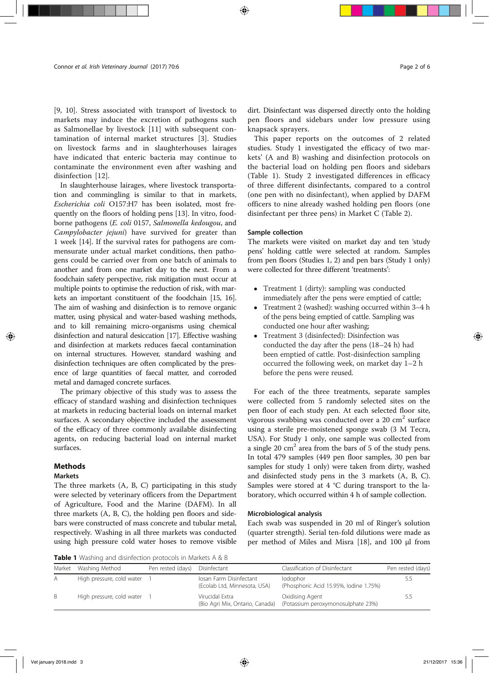[9, 10]. Stress associated with transport of livestock to markets may induce the excretion of pathogens such as Salmonellae by livestock [11] with subsequent contamination of internal market structures [3]. Studies on livestock farms and in slaughterhouses lairages have indicated that enteric bacteria may continue to contaminate the environment even after washing and disinfection [12].

In slaughterhouse lairages, where livestock transportation and commingling is similar to that in markets, Escherichia coli O157:H7 has been isolated, most frequently on the floors of holding pens [13]. In vitro, foodborne pathogens (E. coli 0157, Salmonella kedougou, and Campylobacter jejuni) have survived for greater than 1 week [14]. If the survival rates for pathogens are commensurate under actual market conditions, then pathogens could be carried over from one batch of animals to another and from one market day to the next. From a foodchain safety perspective, risk mitigation must occur at multiple points to optimise the reduction of risk, with markets an important constituent of the foodchain [15, 16]. The aim of washing and disinfection is to remove organic matter, using physical and water-based washing methods, and to kill remaining micro-organisms using chemical disinfection and natural desiccation [17]. Effective washing and disinfection at markets reduces faecal contamination on internal structures. However, standard washing and disinfection techniques are often complicated by the presence of large quantities of faecal matter, and corroded metal and damaged concrete surfaces.

The primary objective of this study was to assess the efficacy of standard washing and disinfection techniques at markets in reducing bacterial loads on internal market surfaces. A secondary objective included the assessment of the efficacy of three commonly available disinfecting agents, on reducing bacterial load on internal market surfaces.

#### **Methods**

### Markets

The three markets (A, B, C) participating in this study were selected by veterinary officers from the Department of Agriculture, Food and the Marine (DAFM). In all three markets (A, B, C), the holding pen floors and sidebars were constructed of mass concrete and tubular metal, respectively. Washing in all three markets was conducted using high pressure cold water hoses to remove visible

dirt. Disinfectant was dispersed directly onto the holding pen floors and sidebars under low pressure using knapsack sprayers.

This paper reports on the outcomes of 2 related studies. Study 1 investigated the efficacy of two markets' (A and B) washing and disinfection protocols on the bacterial load on holding pen floors and sidebars (Table 1). Study 2 investigated differences in efficacy of three different disinfectants, compared to a control (one pen with no disinfectant), when applied by DAFM officers to nine already washed holding pen floors (one disinfectant per three pens) in Market C (Table 2).

# Sample collection

The markets were visited on market day and ten 'study pens' holding cattle were selected at random. Samples from pen floors (Studies 1, 2) and pen bars (Study 1 only) were collected for three different 'treatments':

- Treatment 1 (dirty): sampling was conducted immediately after the pens were emptied of cattle;
- Treatment 2 (washed): washing occurred within 3–4 h of the pens being emptied of cattle. Sampling was conducted one hour after washing;
- Treatment 3 (disinfected): Disinfection was conducted the day after the pens (18–24 h) had been emptied of cattle. Post-disinfection sampling occurred the following week, on market day 1–2 h before the pens were reused.

For each of the three treatments, separate samples were collected from 5 randomly selected sites on the pen floor of each study pen. At each selected floor site, vigorous swabbing was conducted over a 20  $\text{cm}^2$  surface using a sterile pre-moistened sponge swab (3 M Tecra, USA). For Study 1 only, one sample was collected from a single 20  $\text{cm}^2$  area from the bars of 5 of the study pens. In total 479 samples (449 pen floor samples, 30 pen bar samples for study 1 only) were taken from dirty, washed and disinfected study pens in the 3 markets (A, B, C). Samples were stored at 4 °C during transport to the laboratory, which occurred within 4 h of sample collection.

#### Microbiological analysis

Each swab was suspended in 20 ml of Ringer's solution (quarter strength). Serial ten-fold dilutions were made as per method of Miles and Misra [18], and 100 μl from

Table 1 Washing and disinfection protocols in Markets A & B

| Market | Washing Method            | Pen rested (days) | Disinfectant                                            | Classification of Disinfectant                        | Pen rested (days) |
|--------|---------------------------|-------------------|---------------------------------------------------------|-------------------------------------------------------|-------------------|
| A      | High pressure, cold water |                   | losan Farm Disinfectant<br>(Ecolab Ltd, Minnesota, USA) | lodophor<br>(Phosphoric Acid 15.95%, lodine 1.75%)    | 5.5               |
| B.     | High pressure, cold water |                   | Virucidal Extra<br>(Bio Agri Mix, Ontario, Canada)      | Oxidising Agent<br>(Potassium peroxymonosulphate 23%) | 5.5               |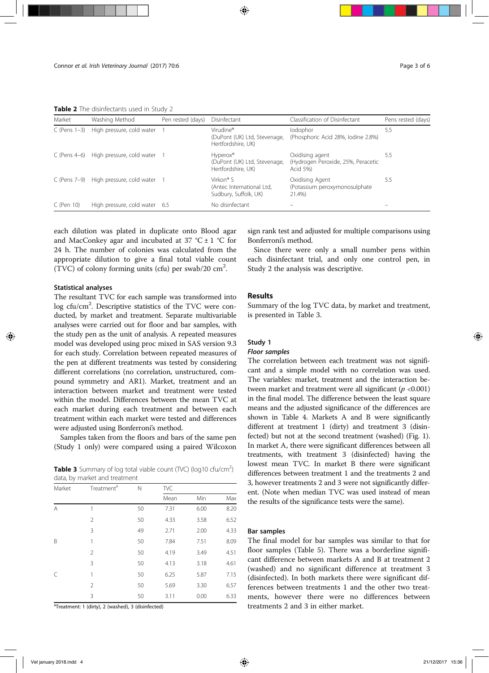Table 2 The disinfectants used in Study 2

| Market            | Washing Method                           | Pen rested (days) | Disinfectant                                                                | Classification of Disinfectant                                    | Pens rested (days) |
|-------------------|------------------------------------------|-------------------|-----------------------------------------------------------------------------|-------------------------------------------------------------------|--------------------|
| $C$ (Pens $1-3$ ) | High pressure, cold water                |                   | Virudine®<br>(DuPont (UK) Ltd, Stevenage,<br>Hertfordshire, UK)             | lodophor<br>(Phosphoric Acid 28%, Iodine 2.8%)                    | 5.5                |
| $C$ (Pens 4–6)    | High pressure, cold water 1              |                   | Hyperox <sup>®</sup><br>(DuPont (UK) Ltd, Stevenage,<br>Hertfordshire, UK)  | Oxidising agent<br>(Hydrogen Peroxide, 25%, Peracetic<br>Acid 5%) | 5.5                |
|                   | C (Pens 7-9) High pressure, cold water 1 |                   | Virkon <sup>®</sup> S<br>(Antec International Ltd,<br>Sudbury, Suffolk, UK) | Oxidising Agent<br>(Potassium peroxymonosulphate)<br>21.4%)       | 5.5                |
| $C$ (Pen 10)      | High pressure, cold water 6.5            |                   | No disinfectant                                                             |                                                                   |                    |

each dilution was plated in duplicate onto Blood agar and MacConkey agar and incubated at 37 °C  $\pm$  1 °C for 24 h. The number of colonies was calculated from the appropriate dilution to give a final total viable count (TVC) of colony forming units (cfu) per swab/20 cm<sup>2</sup> .

# Statistical analyses

The resultant TVC for each sample was transformed into log cfu/cm<sup>2</sup>. Descriptive statistics of the TVC were conducted, by market and treatment. Separate multivariable analyses were carried out for floor and bar samples, with the study pen as the unit of analysis. A repeated measures model was developed using proc mixed in SAS version 9.3 for each study. Correlation between repeated measures of the pen at different treatments was tested by considering different correlations (no correlation, unstructured, compound symmetry and AR1). Market, treatment and an interaction between market and treatment were tested within the model. Differences between the mean TVC at each market during each treatment and between each treatment within each market were tested and differences were adjusted using Bonferroni's method.

Samples taken from the floors and bars of the same pen (Study 1 only) were compared using a paired Wilcoxon

Table 3 Summary of log total viable count (TVC) (log10 cfu/cm<sup>2</sup>) data, by market and treatment

| Market | Treatment <sup>a</sup> | N  | TVC  |      |      |  |  |
|--------|------------------------|----|------|------|------|--|--|
|        |                        |    | Mean | Min  | Max  |  |  |
| A      | 1                      | 50 | 7.31 | 6.00 | 8.20 |  |  |
|        | 2                      | 50 | 4.33 | 3.58 | 6.52 |  |  |
|        | 3                      | 49 | 2.71 | 2.00 | 4.33 |  |  |
| B      | 1                      | 50 | 7.84 | 7.51 | 8.09 |  |  |
|        | 2                      | 50 | 4.19 | 3.49 | 4.51 |  |  |
|        | 3                      | 50 | 4.13 | 3.18 | 4.61 |  |  |
| C      | 1                      | 50 | 6.25 | 5.87 | 7.15 |  |  |
|        | 2                      | 50 | 5.69 | 3.30 | 6.57 |  |  |
|        | 3                      | 50 | 3.11 | 0.00 | 6.33 |  |  |

<sup>a</sup>Treatment: 1 (dirty), 2 (washed), 3 (disinfected)

sign rank test and adjusted for multiple comparisons using Bonferroni's method.

Since there were only a small number pens within each disinfectant trial, and only one control pen, in Study 2 the analysis was descriptive.

# Results

Summary of the log TVC data, by market and treatment, is presented in Table 3.

# Study 1

# Floor samples

The correlation between each treatment was not significant and a simple model with no correlation was used. The variables: market, treatment and the interaction between market and treatment were all significant ( $p < 0.001$ ) in the final model. The difference between the least square means and the adjusted significance of the differences are shown in Table 4. Markets A and B were significantly different at treatment 1 (dirty) and treatment 3 (disinfected) but not at the second treatment (washed) (Fig. 1). In market A, there were significant differences between all treatments, with treatment 3 (disinfected) having the lowest mean TVC. In market B there were significant differences between treatment 1 and the treatments 2 and 3, however treatments 2 and 3 were not significantly different. (Note when median TVC was used instead of mean the results of the significance tests were the same).

# Bar samples

The final model for bar samples was similar to that for floor samples (Table 5). There was a borderline significant difference between markets A and B at treatment 2 (washed) and no significant difference at treatment 3 (disinfected). In both markets there were significant differences between treatments 1 and the other two treatments, however there were no differences between treatments 2 and 3 in either market.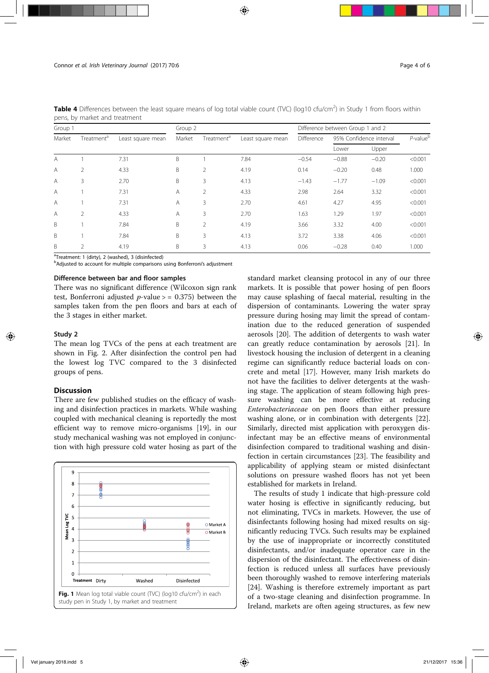|         | pens, by manet and treatment |                   |         |                        |                   |                                  |                         |         |                |
|---------|------------------------------|-------------------|---------|------------------------|-------------------|----------------------------------|-------------------------|---------|----------------|
| Group 1 |                              |                   | Group 2 |                        |                   | Difference between Group 1 and 2 |                         |         |                |
| Market  | Treatment <sup>a</sup>       | Least square mean | Market  | Treatment <sup>a</sup> | Least square mean | Difference                       | 95% Confidence interval |         | $P$ -value $b$ |
|         |                              |                   |         |                        |                   |                                  | Lower                   | Upper   |                |
| A       |                              | 7.31              | B       |                        | 7.84              | $-0.54$                          | $-0.88$                 | $-0.20$ | < 0.001        |
| A       | 2                            | 4.33              | B       | 2                      | 4.19              | 0.14                             | $-0.20$                 | 0.48    | 1.000          |
| A       | 3                            | 2.70              | B       | 3                      | 4.13              | $-1.43$                          | $-1.77$                 | $-1.09$ | < 0.001        |
| A       |                              | 7.31              | A       | $\overline{2}$         | 4.33              | 2.98                             | 2.64                    | 3.32    | < 0.001        |
| A       |                              | 7.31              | Α       | 3                      | 2.70              | 4.61                             | 4.27                    | 4.95    | < 0.001        |
| A       | $\overline{2}$               | 4.33              | A       | 3                      | 2.70              | 1.63                             | 1.29                    | 1.97    | < 0.001        |
| B       |                              | 7.84              | B       | $\overline{2}$         | 4.19              | 3.66                             | 3.32                    | 4.00    | < 0.001        |
| B       |                              | 7.84              | B       | 3                      | 4.13              | 3.72                             | 3.38                    | 4.06    | < 0.001        |
| B       | $\mathcal{P}$                | 4.19              | B       | 3                      | 4.13              | 0.06                             | $-0.28$                 | 0.40    | 1.000          |

**Table 4** Differences between the least square means of log total viable count (TVC) (log10 cfu/cm<sup>2</sup>) in Study 1 from floors within pens, by market and treatment

<sup>a</sup>Treatment: 1 (dirty), 2 (washed), 3 (disinfected)

<sup>b</sup>Adjusted to account for multiple comparisons using Bonferroni's adjustment

# Difference between bar and floor samples

There was no significant difference (Wilcoxon sign rank test, Bonferroni adjusted  $p$ -value  $>$  = 0.375) between the samples taken from the pen floors and bars at each of the 3 stages in either market.

# Study 2

The mean log TVCs of the pens at each treatment are shown in Fig. 2. After disinfection the control pen had the lowest log TVC compared to the 3 disinfected groups of pens.

#### Discussion

There are few published studies on the efficacy of washing and disinfection practices in markets. While washing coupled with mechanical cleaning is reportedly the most efficient way to remove micro-organisms [19], in our study mechanical washing was not employed in conjunction with high pressure cold water hosing as part of the



standard market cleansing protocol in any of our three markets. It is possible that power hosing of pen floors may cause splashing of faecal material, resulting in the dispersion of contaminants. Lowering the water spray pressure during hosing may limit the spread of contamination due to the reduced generation of suspended aerosols [20]. The addition of detergents to wash water can greatly reduce contamination by aerosols [21]. In livestock housing the inclusion of detergent in a cleaning regime can significantly reduce bacterial loads on concrete and metal [17]. However, many Irish markets do not have the facilities to deliver detergents at the washing stage. The application of steam following high pressure washing can be more effective at reducing Enterobacteriaceae on pen floors than either pressure washing alone, or in combination with detergents [22]. Similarly, directed mist application with peroxygen disinfectant may be an effective means of environmental disinfection compared to traditional washing and disinfection in certain circumstances [23]. The feasibility and applicability of applying steam or misted disinfectant solutions on pressure washed floors has not yet been established for markets in Ireland.

The results of study 1 indicate that high-pressure cold water hosing is effective in significantly reducing, but not eliminating, TVCs in markets. However, the use of disinfectants following hosing had mixed results on significantly reducing TVCs. Such results may be explained by the use of inappropriate or incorrectly constituted disinfectants, and/or inadequate operator care in the dispersion of the disinfectant. The effectiveness of disinfection is reduced unless all surfaces have previously been thoroughly washed to remove interfering materials [24]. Washing is therefore extremely important as part of a two-stage cleaning and disinfection programme. In Ireland, markets are often ageing structures, as few new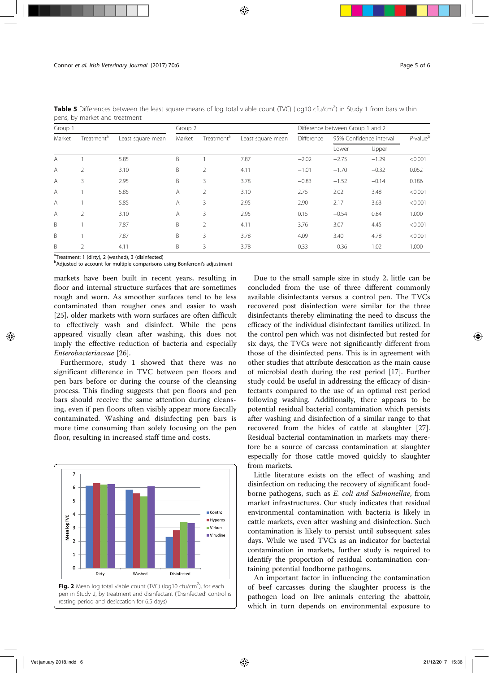| Group 1 |                        |                   | Group 2 |                        |                   | Difference between Group 1 and 2 |                         |         |                |
|---------|------------------------|-------------------|---------|------------------------|-------------------|----------------------------------|-------------------------|---------|----------------|
| Market  | Treatment <sup>a</sup> | Least square mean | Market  | Treatment <sup>a</sup> | Least square mean | Difference                       | 95% Confidence interval |         | $P$ -value $b$ |
|         |                        |                   |         |                        |                   |                                  | Lower                   | Upper   |                |
| A       |                        | 5.85              | B       |                        | 7.87              | $-2.02$                          | $-2.75$                 | $-1.29$ | < 0.001        |
| A       | $\overline{2}$         | 3.10              | B       | 2                      | 4.11              | $-1.01$                          | $-1.70$                 | $-0.32$ | 0.052          |
| A       | 3                      | 2.95              | B       | 3                      | 3.78              | $-0.83$                          | $-1.52$                 | $-0.14$ | 0.186          |
| A       |                        | 5.85              | A       | $\overline{2}$         | 3.10              | 2.75                             | 2.02                    | 3.48    | < 0.001        |
| A       |                        | 5.85              | A       | 3                      | 2.95              | 2.90                             | 2.17                    | 3.63    | < 0.001        |
| A       | $\mathcal{P}$          | 3.10              | A       | 3                      | 2.95              | 0.15                             | $-0.54$                 | 0.84    | 1.000          |
| B       |                        | 7.87              | B       | 2                      | 4.11              | 3.76                             | 3.07                    | 4.45    | < 0.001        |
| B       |                        | 7.87              | B       | 3                      | 3.78              | 4.09                             | 3.40                    | 4.78    | < 0.001        |
| B       | $\mathcal{P}$          | 4.11              | B       | 3                      | 3.78              | 0.33                             | $-0.36$                 | 1.02    | 1.000          |

Table 5 Differences between the least square means of log total viable count (TVC) (log10 cfu/cm<sup>2</sup>) in Study 1 from bars within pens, by market and treatment

<sup>a</sup>Treatment: 1 (dirty), 2 (washed), 3 (disinfected)

<sup>b</sup>Adjusted to account for multiple comparisons using Bonferroni's adjustment

markets have been built in recent years, resulting in floor and internal structure surfaces that are sometimes rough and worn. As smoother surfaces tend to be less contaminated than rougher ones and easier to wash [25], older markets with worn surfaces are often difficult to effectively wash and disinfect. While the pens appeared visually clean after washing, this does not imply the effective reduction of bacteria and especially Enterobacteriaceae [26].

Furthermore, study 1 showed that there was no significant difference in TVC between pen floors and pen bars before or during the course of the cleansing process. This finding suggests that pen floors and pen bars should receive the same attention during cleansing, even if pen floors often visibly appear more faecally contaminated. Washing and disinfecting pen bars is more time consuming than solely focusing on the pen floor, resulting in increased staff time and costs.



pen in Study 2, by treatment and disinfectant ('Disinfected' control is resting period and desiccation for 6.5 days)

Due to the small sample size in study 2, little can be concluded from the use of three different commonly available disinfectants versus a control pen. The TVCs recovered post disinfection were similar for the three disinfectants thereby eliminating the need to discuss the efficacy of the individual disinfectant families utilized. In the control pen which was not disinfected but rested for six days, the TVCs were not significantly different from those of the disinfected pens. This is in agreement with other studies that attribute desiccation as the main cause of microbial death during the rest period [17]. Further study could be useful in addressing the efficacy of disinfectants compared to the use of an optimal rest period following washing. Additionally, there appears to be potential residual bacterial contamination which persists after washing and disinfection of a similar range to that recovered from the hides of cattle at slaughter [27]. Residual bacterial contamination in markets may therefore be a source of carcass contamination at slaughter especially for those cattle moved quickly to slaughter from markets.

Little literature exists on the effect of washing and disinfection on reducing the recovery of significant foodborne pathogens, such as E. coli and Salmonellae, from market infrastructures. Our study indicates that residual environmental contamination with bacteria is likely in cattle markets, even after washing and disinfection. Such contamination is likely to persist until subsequent sales days. While we used TVCs as an indicator for bacterial contamination in markets, further study is required to identify the proportion of residual contamination containing potential foodborne pathogens.

An important factor in influencing the contamination of beef carcasses during the slaughter process is the pathogen load on live animals entering the abattoir, which in turn depends on environmental exposure to